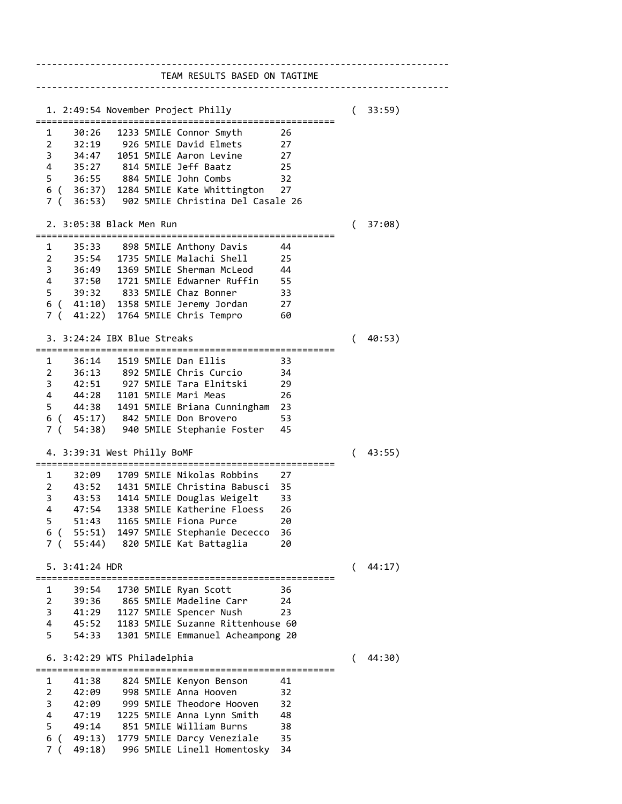---------------------------------------------------------------------------- TEAM RESULTS BASED ON TAGTIME ---------------------------------------------------------------------------- 1. 2:49:54 November Project Philly ( 33:59) ======================================================= 1 30:26 1233 5MILE Connor Smyth 26 2 32:19 926 5MILE David Elmets 27 3 34:47 1051 5MILE Aaron Levine 27 4 35:27 814 5MILE Jeff Baatz 25 5 36:55 884 5MILE John Combs 32 6 ( 36:37) 1284 5MILE Kate Whittington 27 7 ( 36:53) 902 5MILE Christina Del Casale 26 2. 3:05:38 Black Men Run ( 37:08) ======================================================= 1 35:33 898 5MILE Anthony Davis 44 2 35:54 1735 5MILE Malachi Shell 25 3 36:49 1369 5MILE Sherman McLeod 44 4 37:50 1721 5MILE Edwarner Ruffin 55 5 39:32 833 5MILE Chaz Bonner 33 6 ( 41:10) 1358 5MILE Jeremy Jordan 27 7 ( 41:22) 1764 5MILE Chris Tempro 60 3. 3:24:24 IBX Blue Streaks ( 40:53) ======================================================= 1 36:14 1519 5MILE Dan Ellis 33 2 36:13 892 5MILE Chris Curcio 34 3 42:51 927 5MILE Tara Elnitski 29 4 44:28 1101 5MILE Mari Meas 26 5 44:38 1491 5MILE Briana Cunningham 23 6 ( 45:17) 842 5MILE Don Brovero 53 7 ( 54:38) 940 5MILE Stephanie Foster 45 4. 3:39:31 West Philly BoMF ( 43:55) ======================================================= 1 32:09 1709 5MILE Nikolas Robbins 27 2 43:52 1431 5MILE Christina Babusci 35 3 43:53 1414 5MILE Douglas Weigelt 33 4 47:54 1338 5MILE Katherine Floess 26 5 51:43 1165 5MILE Fiona Purce 20 6 ( 55:51) 1497 5MILE Stephanie Dececco 36 7 ( 55:44) 820 5MILE Kat Battaglia 20 5. 3:41:24 HDR ( 44:17) ======================================================= 1 39:54 1730 5MILE Ryan Scott 36 2 39:36 865 5MILE Madeline Carr 24 3 41:29 1127 5MILE Spencer Nush 23 4 45:52 1183 5MILE Suzanne Rittenhouse 60 5 54:33 1301 5MILE Emmanuel Acheampong 20 6. 3:42:29 WTS Philadelphia ( 44:30) ======================================================= 1 41:38 824 5MILE Kenyon Benson 41 2 42:09 998 5MILE Anna Hooven 32 3 42:09 999 5MILE Theodore Hooven 32 4 47:19 1225 5MILE Anna Lynn Smith 48 5 49:14 851 5MILE William Burns 38 6 ( 49:13) 1779 5MILE Darcy Veneziale 35 7 ( 49:18) 996 5MILE Linell Homentosky 34